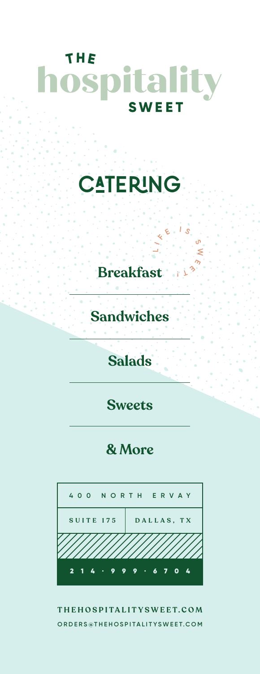## THE hospitality **SWEET**

## **CATERING**

**Breakfast**

**Sandwiches**

## **Salads**

**Sweets**

## **& More**



**THEHOSPITALITYSWEET.COM ORDERS@THEHOSPITALITYSWEET.COM**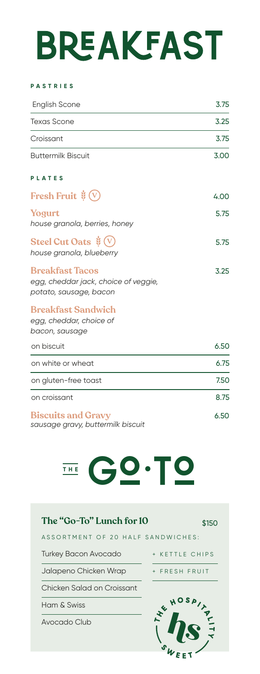# **BREAKFAST**

#### **PASTRIES**

| <b>English Scone</b>      | 3.75 |
|---------------------------|------|
| Texas Scone               | 3.25 |
| Croissant                 | 3.75 |
| <b>Buttermilk Biscuit</b> | 3.00 |

### **PLATES**

| Fresh Fruit $\dot{\mathscr{G}}(\nabla)$                                    | 4.00 |
|----------------------------------------------------------------------------|------|
| Yogurt<br>house granola, berries, honey                                    | 5.75 |
| Steel Cut Oats $\dot{\mathscr{G}}(\mathsf{V})$<br>house granola, blueberry | 5.75 |

3.25

### **Breakfast Tacos** *egg, cheddar jack, choice of veggie, potato, sausage, bacon*

### **Breakfast Sandwich**

*egg, cheddar, choice of bacon, sausage*

| on biscuit                | 6.50 |
|---------------------------|------|
| on white or wheat         | 6.75 |
| on gluten-free toast      | 7.50 |
| on croissant              | 8.75 |
| <b>Biscuits and Gravy</b> | 6.50 |

*sausage gravy, buttermilk biscuit*



| The "Go-To" Lunch for 10          |                |
|-----------------------------------|----------------|
| ASSORTMENT OF 20 HALF SANDWICHES' |                |
| Turkey Bacon Avocado              | + KFTTIF CHIPS |
| Jalapeno Chicken Wrap             | + FRESH FRUIT  |
| Chicken Salad on Croissant        |                |

Ham & Swiss

Avocado Club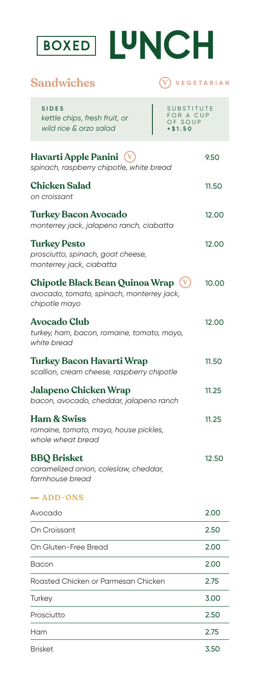

BOXED LUNCH

## **Sandwiches**  $\overline{V}$  **VEGETARIAN**

| <b>SIDES</b><br>kettle chips, fresh fruit, or<br>wild rice & orzo salad                          | SUBSTITUTE<br>FOR A CUP<br>OF SOUP<br>$+ $1.50$ |
|--------------------------------------------------------------------------------------------------|-------------------------------------------------|
| Havarti Apple Panini<br>spinach, raspberry chipotle, white bread                                 | 9.50                                            |
| <b>Chicken Salad</b><br>on croissant                                                             | 11.50                                           |
| <b>Turkey Bacon Avocado</b><br>monterrey jack, jalapeno ranch, ciabatta                          | 12.00                                           |
| <b>Turkey Pesto</b><br>prosciutto, spinach, goat cheese,<br>monterrey jack, ciabatta             | 12.00                                           |
| Chipotle Black Bean Quinoa Wrap (V<br>avocado, tomato, spinach, monterrey jack,<br>chipotle mayo | 10.00                                           |
| <b>Avocado Club</b><br>turkey, ham, bacon, romaine, tomato, mayo,<br>white bread                 | 12.00                                           |
| Turkey Bacon Havarti Wrap<br>scallion, cream cheese, raspberry chipotle                          | 11.50                                           |
| Jalapeno Chicken Wrap<br>bacon, avocado, cheddar, jalapeno ranch                                 | 11.25                                           |
| <b>Ham &amp; Swiss</b><br>romaine, tomato, mayo, house pickles,<br>whole wheat bread             | 11.25                                           |
| <b>BBQ</b> Brisket<br>caramelized onion, coleslaw, cheddar,<br>farmhouse bread                   | 12.50                                           |
| - ADD-ONS                                                                                        |                                                 |
| Avocado                                                                                          | 2.00                                            |
| On Croissant                                                                                     | 2.50                                            |
| On Gluten-Free Bread                                                                             | 2.00                                            |
| Bacon                                                                                            | 2.00                                            |
| Roasted Chicken or Parmesan Chicken                                                              | 2.75                                            |
| Turkey                                                                                           | 3.00                                            |
| Prosciutto                                                                                       | 2.50                                            |
| Ham                                                                                              | 2.75                                            |

Brisket

3.50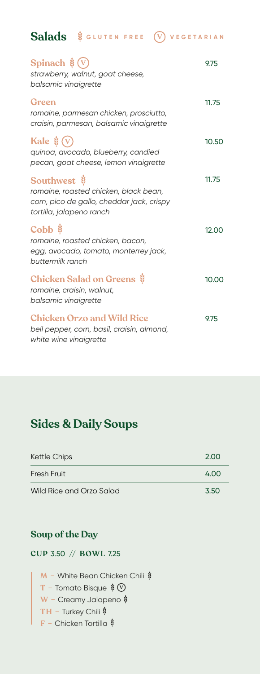**Salads** & GLUTEN FREE (V) VEGETARIAN

| Spinach $\dot{\mathscr{G}}(V)$<br>strawberry, walnut, goat cheese,<br>balsamic vinaigrette                                                               | 9.75  |
|----------------------------------------------------------------------------------------------------------------------------------------------------------|-------|
| Green<br>romaine, parmesan chicken, prosciutto,<br>craisin, parmesan, balsamic vinaigrette                                                               | 11.75 |
| Kale $\dot{\mathbf{z}}(\mathbf{v})$<br>quinoa, avocado, blueberry, candied<br>pecan, goat cheese, lemon vinaigrette                                      | 10.50 |
| Southwest $\ddot{\mathbf{\mathsf{y}}}$<br>romaine, roasted chicken, black bean,<br>corn, pico de gallo, cheddar jack, crispy<br>tortilla, jalapeno ranch | 11.75 |
| Cobb \$<br>romaine, roasted chicken, bacon,<br>egg, avocado, tomato, monterrey jack,<br>buttermilk ranch                                                 | 12.00 |
| <b>Chicken Salad on Greens &amp;</b><br>romaine, craisin, walnut,<br>balsamic vinaigrette                                                                | 10.00 |
| <b>Chicken Orzo and Wild Rice</b><br>bell pepper, corn, basil, craisin, almond,<br>white wine vinaigrette                                                | 9.75  |

## **Sides & Daily Soups**

| <b>Kettle Chips</b>      | 2.00 |
|--------------------------|------|
| Fresh Fruit              | 4.00 |
| Wild Rice and Orzo Salad | 3.50 |

## **Soup of the Day**

**CUP** 3.50 // **BOWL** 7.25

**M** − White Bean Chicken Chili  $\dot{$ **T –** Tomato Bisque **V W –** Creamy Jalapeno **TH –** Turkey Chili **F –** Chicken Tortilla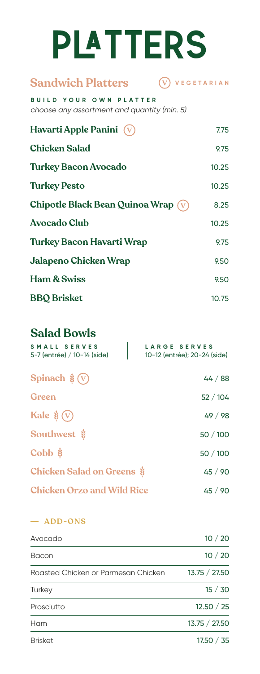# **PLATTERS**

#### **Sandwich Platters V VEGETARIAN**

**BUILD YOUR OWN PLATTER** *choose any assortment and quantity (min. 5)*

| Havarti Apple Panini $\sqrt{\sqrt{}}$      | 7.75  |
|--------------------------------------------|-------|
| <b>Chicken Salad</b>                       | 9.75  |
| <b>Turkey Bacon Avocado</b>                | 10.25 |
| <b>Turkey Pesto</b>                        | 10.25 |
| Chipotle Black Bean Quinoa Wrap $(\nabla)$ | 8.25  |
| <b>Avocado Club</b>                        | 10.25 |
| <b>Turkey Bacon Havarti Wrap</b>           | 9.75  |
| <b>Jalapeno Chicken Wrap</b>               | 9.50  |
| <b>Ham &amp; Swiss</b>                     | 9.50  |
| <b>BBQ</b> Brisket                         | 10.75 |

## **Salad Bowls**

| SMALL SERVES<br>5-7 (entrée) / 10-14 (side) | <b>LARGE SERVES</b><br>10-12 (entrée); 20-24 (side) |
|---------------------------------------------|-----------------------------------------------------|
| Spinach $\frac{1}{2}(V)$                    | 44/88                                               |
| Green                                       | 52/104                                              |
| Kale $\dot{\mathscr{G}}(\nabla)$            | 49/98                                               |
| Southwest \$                                | 50/100                                              |
| Cobb $\ddot{\mathbf{\mathsf{g}}}$           | 50 / 100                                            |
| Chicken Salad on Greens \$                  | 45 / 90                                             |
| <b>Chicken Orzo and Wild Rice</b>           | 45/90                                               |

### **ADD-ONS**

| Avocado                             | 10/20         |
|-------------------------------------|---------------|
| Bacon                               | 10/20         |
| Roasted Chicken or Parmesan Chicken | 13.75 / 27.50 |
| Turkey                              | 15/30         |
| Prosciutto                          | 12.50 / 25    |
| Ham                                 | 13.75 / 27.50 |
| <b>Brisket</b>                      | 17.50 / 35    |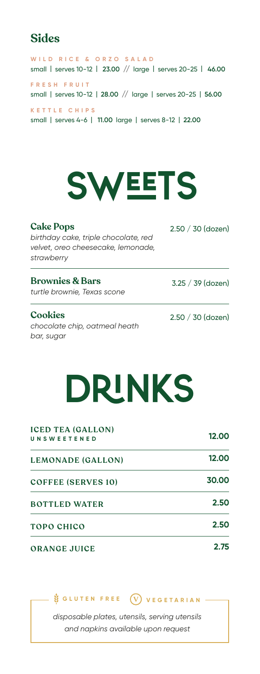## **Sides**

WILD RICE & ORZO SALAD small | serves 10-12 | **23.00** // large | serves 20-25 | **46.00 FRESH FRUIT** small | serves 10-12 | **28.00** // large | serves 20-25 | **56.00 KETTLE CHIPS**  small | serves 4-6 | **11.00** large | serves 8-12 | **22.00**



**Cake Pops**  *birthday cake, triple chocolate, red velvet, oreo cheesecake, lemonade, strawberry*

### **Brownies & Bars** *turtle brownie, Texas scone*

**Cookies**

*chocolate chip, oatmeal heath bar, sugar* 

2.50 / 30 (dozen)

|  | 2.50 / 30 (dozen) |
|--|-------------------|

3.25 / 39 (dozen)

## DrinKs

| <b>ICED TEA (GALLON)</b><br><b>UNSWEETENED</b> | 12.00 |  |
|------------------------------------------------|-------|--|
| <b>LEMONADE (GALLON)</b>                       | 12.00 |  |
| <b>COFFEE (SERVES 10)</b>                      | 30.00 |  |
| <b>BOTTLED WATER</b>                           | 2.50  |  |
| TOPO CHICO                                     | 2.50  |  |
| <b>ORANGE JUICE</b>                            | 2.75  |  |

## **GLUTEN FREE V VEGETARIAN**

*disposable plates, utensils, serving utensils and napkins available upon request*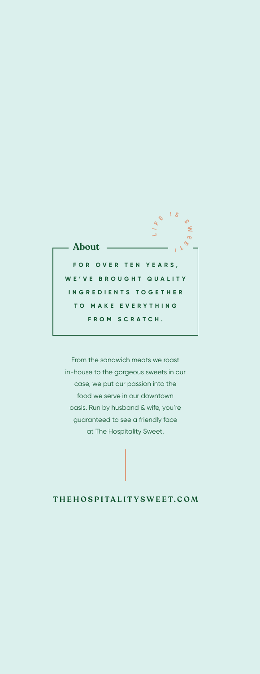

From the sandwich meats we roast in-house to the gorgeous sweets in our case, we put our passion into the food we serve in our downtown oasis. Run by husband & wife, you're guaranteed to see a friendly face at The Hospitality Sweet.

### **THEHOSPITALITYSWEET.COM**